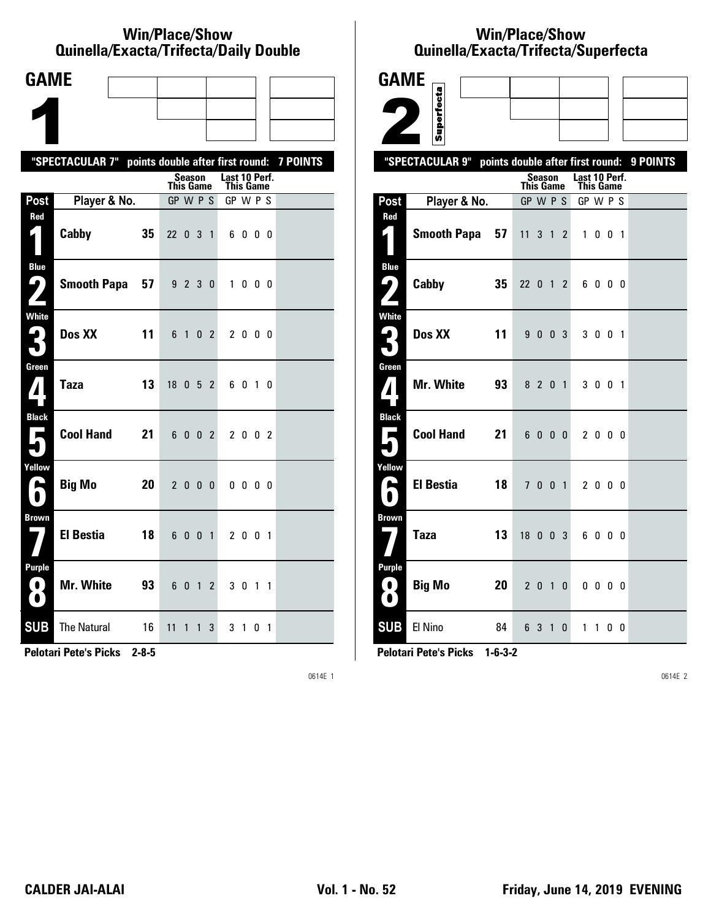#### **Win/Place/Show Qui nel la/Exacta/Tri fecta/Daily Dou ble**

| <b>GAME</b>                              |                                                           |                                    |                       |                            |           |  |
|------------------------------------------|-----------------------------------------------------------|------------------------------------|-----------------------|----------------------------|-----------|--|
|                                          |                                                           |                                    |                       |                            |           |  |
|                                          |                                                           |                                    |                       |                            |           |  |
|                                          | "SPECTACULAR 7" points double after first round: 7 POINTS |                                    |                       |                            |           |  |
|                                          |                                                           | Season<br>This Game                |                       | Last 10 Perf.<br>This Game |           |  |
| Post                                     | Player & No.                                              | GP W P S                           |                       | GP W P S                   |           |  |
| Red<br>$\blacksquare$                    | 35<br>Cabby                                               | 22 0 3 1                           |                       | 6000                       |           |  |
| <b>Blue</b><br>9<br>$\mathbf{Z}$         | 57<br><b>Smooth Papa</b>                                  | 9 2 3 0                            |                       | $\mathbf{1}$               | $0\,0\,0$ |  |
| <b>White</b><br>3                        | Dos XX<br>11                                              | 6 1                                | 0 <sub>2</sub>        | 2000                       |           |  |
| Green<br>$\mathbf{Z}$                    | <b>Taza</b><br>13                                         | 18 0 5 2                           |                       | 6010                       |           |  |
| <b>Black</b><br>$\overline{\phantom{a}}$ | <b>Cool Hand</b><br>21                                    | 6 0 0 2                            |                       | 2 0 0 2                    |           |  |
| Yellow<br>A                              | <b>Big Mo</b><br>20                                       | $2000$                             |                       | $0\,0\,0\,0$               |           |  |
| <b>Brown</b>                             | <b>El Bestia</b><br>18                                    | 6 0 0 1                            |                       | 2 0 0 1                    |           |  |
| <b>Purple</b><br>$\bf O$<br>O            | <b>Mr. White</b><br>93                                    | 6 0 1                              | $\mathbf{2}^{\prime}$ | 3 0 1 1                    |           |  |
| <b>SUB</b>                               | <b>The Natural</b><br>16                                  | 11<br>$\mathbf{1}$<br>$\mathbf{1}$ | 3                     | 3 1                        | 01        |  |

**Pelotari Pete's Picks 2-8-5**

0614E 1

# **Win/Place/Show Qui nel la/Exacta/Tri fecta/Super fecta**

| <b>GAME</b>                            |                                                  |    |                       |         |   |                       |              |  |          |
|----------------------------------------|--------------------------------------------------|----|-----------------------|---------|---|-----------------------|--------------|--|----------|
|                                        | Superfecta                                       |    |                       |         |   |                       |              |  |          |
|                                        |                                                  |    |                       |         |   |                       |              |  |          |
|                                        |                                                  |    |                       |         |   |                       |              |  |          |
|                                        | "SPECTACULAR 9" points double after first round: |    |                       | Season  |   | Last 10 Perf.         |              |  | 9 POINTS |
| Post                                   | Player & No.                                     |    | This Game<br>GP W P S |         |   | This Game<br>GP W P S |              |  |          |
| Red                                    |                                                  |    |                       |         |   |                       |              |  |          |
|                                        | <b>Smooth Papa</b>                               | 57 | $11 \t3 \t1 \t2$      |         |   |                       | 1001         |  |          |
| <b>Blue</b><br>ر ما                    | Cabby                                            | 35 | 22 0 1 2              |         |   |                       | 6000         |  |          |
|                                        |                                                  |    |                       |         |   |                       |              |  |          |
| <b>White</b><br>$\mathbf{L}_\parallel$ | Dos XX                                           | 11 |                       | 9 0 0 3 |   |                       | 3 0 0 1      |  |          |
|                                        |                                                  |    |                       |         |   |                       |              |  |          |
| Green<br>${\bf 7}$                     | <b>Mr. White</b>                                 | 93 |                       | 8 2 0 1 |   |                       | 3 0 0 1      |  |          |
|                                        |                                                  |    |                       |         |   |                       |              |  |          |
| <b>Black</b><br>$\rightarrow$          | <b>Cool Hand</b>                                 | 21 |                       | 6000    |   |                       | 2000         |  |          |
|                                        |                                                  |    |                       |         |   |                       |              |  |          |
| Yellow<br>A                            | <b>El Bestia</b>                                 | 18 |                       | 7 0 0 1 |   |                       | 2000         |  |          |
|                                        |                                                  |    |                       |         |   |                       |              |  |          |
| <b>Brown</b>                           | <b>Taza</b>                                      | 13 | $18$ 0 0 3            |         |   |                       | 6000         |  |          |
|                                        |                                                  |    |                       |         |   |                       |              |  |          |
| Purple                                 |                                                  |    |                       |         |   |                       |              |  |          |
| 0<br>$\bullet$                         | <b>Big Mo</b>                                    | 20 |                       | 2 0 1   | 0 |                       | $0\,0\,0\,0$ |  |          |
| <b>SUB</b>                             | El Nino                                          | 84 |                       | 6 3 1 0 |   |                       | 1 1 0 0      |  |          |

**Pelotari Pete's Picks 1-6-3-2**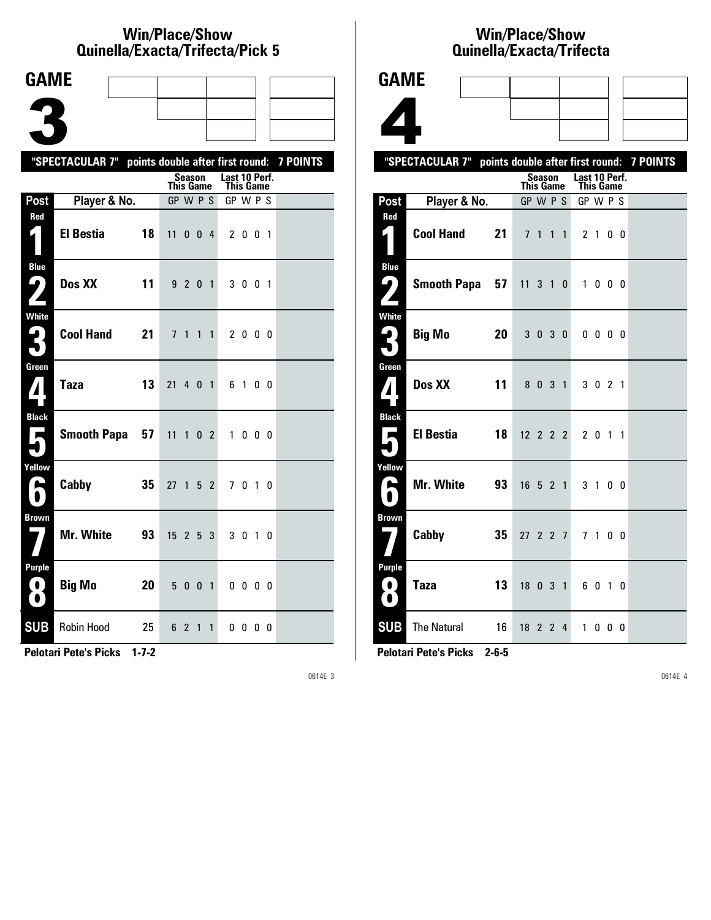#### **Win/Place/Show Quinella/Exacta/Trifecta/Pick 5**

| <b>GAME</b>                                                                   |                                                           |              |                                  |                |                |                |                              |              |     |  |
|-------------------------------------------------------------------------------|-----------------------------------------------------------|--------------|----------------------------------|----------------|----------------|----------------|------------------------------|--------------|-----|--|
|                                                                               |                                                           |              |                                  |                |                |                |                              |              |     |  |
|                                                                               |                                                           |              |                                  |                |                |                |                              |              |     |  |
|                                                                               |                                                           |              |                                  |                |                |                |                              |              |     |  |
|                                                                               | "SPECTACULAR 7" points double after first round: 7 POINTS |              |                                  | <b>Season</b>  |                |                | Last 10 Perf.                |              |     |  |
|                                                                               |                                                           |              | <b>This Game</b><br>$GP$ W $P$ S |                |                |                | <b>This Game</b><br>GP W P S |              |     |  |
| Post<br>Red                                                                   | Player & No.                                              |              |                                  |                |                |                |                              |              |     |  |
| 1                                                                             | El Bestia                                                 | 18           | 11 0 0 4                         |                |                |                |                              | 2 0 0 1      |     |  |
| <b>Blue</b><br>9)                                                             | Dos XX                                                    | 11           |                                  | 9 2 0 1        |                |                |                              | 3 0 0 1      |     |  |
| White<br>3                                                                    |                                                           | Cool Hand 21 | $\overline{1}$                   | 1              | 1              | $\mathbf{1}$   |                              | 2 0 0 0      |     |  |
| Green<br>$\mathbf{Z}$                                                         | <b>Taza</b>                                               | 13           | 21 4 0 1                         |                |                |                |                              | 6 1 0 0      |     |  |
| <b>Black</b><br>$\overline{\phantom{a}}$                                      | <b>Smooth Papa</b>                                        | 57           | 11                               | $\mathbf{1}$   | 0 <sub>2</sub> |                |                              | 1000         |     |  |
| Yellow<br>H                                                                   | Cabby                                                     | 35           | 27                               | 1              | 5              | $\overline{2}$ | 7                            | 0            | 1 0 |  |
| <b>Brown</b>                                                                  | Mr. White                                                 | 93           | 15                               |                | 2 <sub>5</sub> | 3              |                              | 3 0 1 0      |     |  |
| <b>Purple</b><br>$\left( \begin{array}{c} 0 \end{array} \right)$<br>$\bullet$ | <b>Big Mo</b>                                             | 20           | 5                                | 0 <sub>0</sub> |                | $\overline{1}$ |                              | $0\,0\,0\,0$ |     |  |
| <b>SUB</b>                                                                    | Robin Hood                                                | 25           |                                  | 6 2            | $\mathbf{1}$   | $\mathbf{1}$   |                              | $0\,0\,0\,0$ |     |  |

**Pelotari Pete's Picks 1-7-2**

0614E 3

### **Win/Place/Show Qui nel la/Exacta/Tri fecta**



**Pelotari Pete's Picks 2-6-5**

**8 Taza 13** 18 0 3 1 6 0 1 0

**SUB** The Natural 16 18 2 2 4 1 0 0 0

**Pur ple**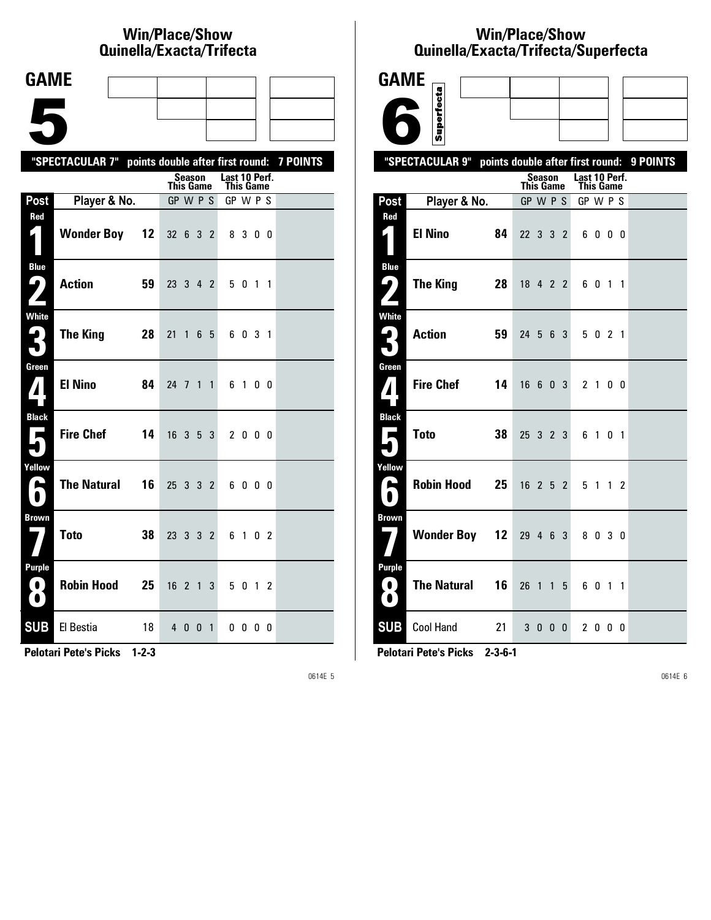# **Win/Place/Show Qui nel la/Exacta/Tri fecta**

| <b>GAME</b>                                                              |                                                           |                     |                            |  |
|--------------------------------------------------------------------------|-----------------------------------------------------------|---------------------|----------------------------|--|
|                                                                          |                                                           |                     |                            |  |
|                                                                          |                                                           |                     |                            |  |
|                                                                          | "SPECTACULAR 7" points double after first round: 7 POINTS |                     |                            |  |
|                                                                          |                                                           | Season<br>This Game | Last 10 Perf.<br>This Game |  |
| Post                                                                     | Player & No.                                              | GP W P S            | GP W P S                   |  |
| Red<br>$\vert$                                                           | <b>Wonder Boy 12</b>                                      | 32 6 3 2            | 8 3 0 0                    |  |
| <b>Blue</b><br>$\mathbf{\mathbf{\mathbf{\mathsf{L}}}}$ )<br>$\mathbf{Z}$ | Action<br>59                                              | 23 3 4 2            | 5 0 1 1                    |  |
| White<br>3                                                               | The King<br>28                                            | 21<br>1<br>65       | 6031                       |  |
| Green<br>$\mathbf{Z}$                                                    | <b>El Nino</b><br>84                                      | 24 7 1 1            | 6 1 0 0                    |  |
| <b>Black</b><br>$\blacksquare$                                           | <b>Fire Chef</b><br>14                                    | $16$ 3 5 3          | 2 0 0 0                    |  |
| Yellow<br>$\blacksquare$<br>$\blacksquare$                               | <b>The Natural</b><br>16                                  | 25 3 3 2            | 6000                       |  |
| <b>Brown</b>                                                             | <b>Toto</b><br>38                                         | 23 3 3 2            | 6 1 0 2                    |  |
| <b>Purple</b><br>$\bf{O}$<br>$\left( 0\right)$                           | <b>Robin Hood</b><br>25                                   | $16 \t2 \t1$        | 3<br>5 0 1 2               |  |
| <b>SUB</b>                                                               | El Bestia<br>18                                           | 4 0 0 1             | $0\,0\,0\,0$               |  |

**Pelotari Pete's Picks 1-2-3**

0614E 5

# **Win/Place/Show Qui nel la/Exacta/Tri fecta/Super fecta**

| <b>GAME</b>                                        |                                                           |                            |                                   |                |  |
|----------------------------------------------------|-----------------------------------------------------------|----------------------------|-----------------------------------|----------------|--|
|                                                    | Superfecta                                                |                            |                                   |                |  |
|                                                    |                                                           |                            |                                   |                |  |
|                                                    | "SPECTACULAR 9" points double after first round: 9 POINTS |                            |                                   |                |  |
|                                                    |                                                           | Season<br><b>This Game</b> | Last 10 Perf.<br><b>This Game</b> |                |  |
| <b>Post</b>                                        | Player & No.                                              | GP W P S                   | GP W P S                          |                |  |
| Red<br>$\mathsf{L}_\parallel$                      | <b>El Nino</b><br>84                                      | 22 3 3 2                   | 6000                              |                |  |
| <b>Blue</b><br>$\mathbf{\mathsf{L}}_{\bm{\ell}}$ ) | <b>The King</b><br>28                                     | 18 4 2 2                   | 60                                | $1\quad1$      |  |
| <b>White</b><br>$\mathbf{G}_1$<br>5                | <b>Action</b><br>59                                       | 24 5 6 3                   | 5 0 2 1                           |                |  |
| Green<br>$\boldsymbol{I}$                          | <b>Fire Chef</b><br>14                                    | 16 6 0 3                   | 2 1 0 0                           |                |  |
| <b>Black</b><br>Е                                  | <b>Toto</b><br>38                                         | 25 3 2 3                   | 61                                | 0 <sub>1</sub> |  |
| Yellow<br>P<br>0                                   | <b>Robin Hood</b><br>25                                   | $16$ 2 5 2                 | 5 1                               | $1\quad2$      |  |
| <b>Brown</b>                                       | <b>Wonder Boy 12</b>                                      | 29 4 6 3                   | 8030                              |                |  |
| <b>Purple</b><br>0.<br>O                           | <b>The Natural</b><br>16                                  | 26<br>$1\quad1$            | 5<br>6 0 1 1                      |                |  |
| <b>SUB</b>                                         | <b>Cool Hand</b><br>21                                    | 3 0 0 0                    | 2000                              |                |  |

**Pelotari Pete's Picks 2-3-6-1**